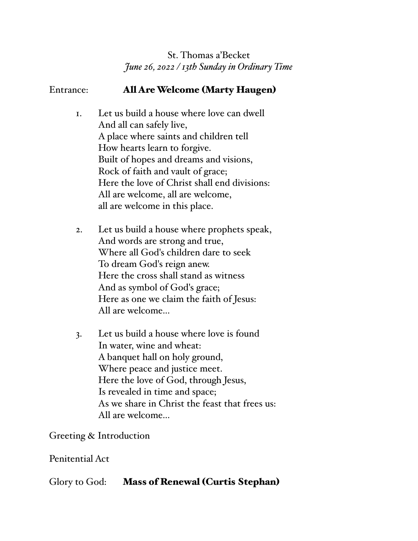St. Thomas a'Becket *June 26, 2022 / 13th Sunday in Ordinary Time*

# Entrance: All Are Welcome (Marty Haugen)

- 1. Let us build a house where love can dwell And all can safely live, A place where saints and children tell How hearts learn to forgive. Built of hopes and dreams and visions, Rock of faith and vault of grace; Here the love of Christ shall end divisions: All are welcome, all are welcome, all are welcome in this place.
- 2. Let us build a house where prophets speak, And words are strong and true, Where all God's children dare to seek To dream God's reign anew. Here the cross shall stand as witness And as symbol of God's grace; Here as one we claim the faith of Jesus: All are welcome...
- 3. Let us build a house where love is found In water, wine and wheat: A banquet hall on holy ground, Where peace and justice meet. Here the love of God, through Jesus, Is revealed in time and space; As we share in Christ the feast that frees us: All are welcome...

## Greeting & Introduction

## Penitential Act

Glory to God: Mass of Renewal (Curtis Stephan)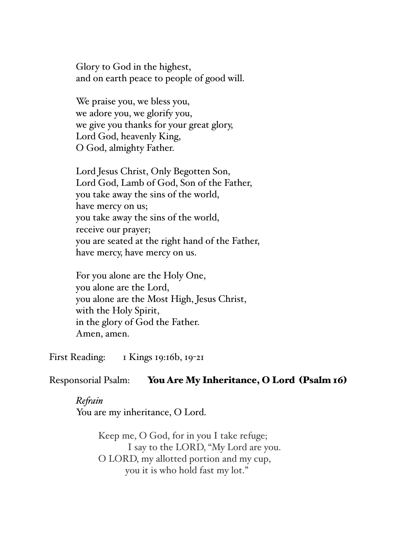Glory to God in the highest, and on earth peace to people of good will.

We praise you, we bless you, we adore you, we glorify you, we give you thanks for your great glory, Lord God, heavenly King, O God, almighty Father.

Lord Jesus Christ, Only Begotten Son, Lord God, Lamb of God, Son of the Father, you take away the sins of the world, have mercy on us; you take away the sins of the world, receive our prayer; you are seated at the right hand of the Father, have mercy, have mercy on us.

For you alone are the Holy One, you alone are the Lord, you alone are the Most High, Jesus Christ, with the Holy Spirit, in the glory of God the Father. Amen, amen.

First Reading: 1 Kings 19:16b, 19-21

Responsorial Psalm: You Are My Inheritance, O Lord (Psalm 16)

#### *Refrain*

You are my inheritance, O Lord.

Keep me, O God, for in you I take refuge; I say to the LORD, "My Lord are you. O LORD, my allotted portion and my cup, you it is who hold fast my lot."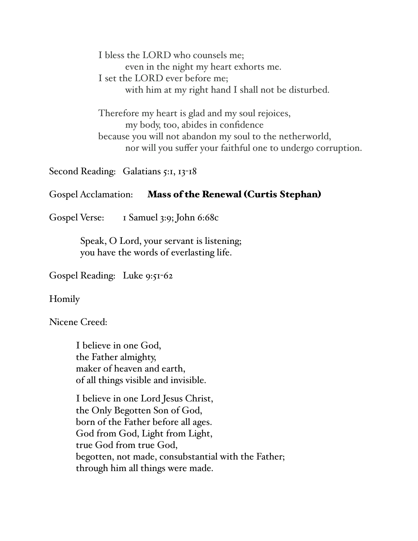I bless the LORD who counsels me; even in the night my heart exhorts me. I set the LORD ever before me; with him at my right hand I shall not be disturbed.

Therefore my heart is glad and my soul rejoices, my body, too, abides in confidence because you will not abandon my soul to the netherworld, nor will you suffer your faithful one to undergo corruption.

Second Reading: Galatians 5:1, 13-18

#### Gospel Acclamation: Mass of the Renewal (Curtis Stephan)

Gospel Verse: 1 Samuel 3:9; John 6:68c

Speak, O Lord, your servant is listening; you have the words of everlasting life.

Gospel Reading: Luke 9:51-62

Homily

Nicene Creed:

I believe in one God, the Father almighty, maker of heaven and earth, of all things visible and invisible.

I believe in one Lord Jesus Christ, the Only Begotten Son of God, born of the Father before all ages. God from God, Light from Light, true God from true God, begotten, not made, consubstantial with the Father; through him all things were made.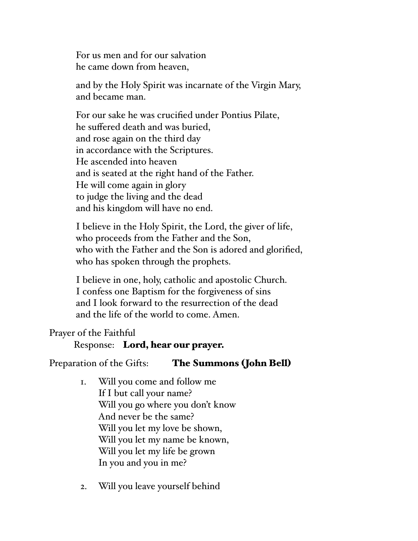For us men and for our salvation he came down from heaven,

and by the Holy Spirit was incarnate of the Virgin Mary, and became man.

For our sake he was crucified under Pontius Pilate, he suffered death and was buried, and rose again on the third day in accordance with the Scriptures. He ascended into heaven and is seated at the right hand of the Father. He will come again in glory to judge the living and the dead and his kingdom will have no end.

I believe in the Holy Spirit, the Lord, the giver of life, who proceeds from the Father and the Son, who with the Father and the Son is adored and glorified, who has spoken through the prophets.

I believe in one, holy, catholic and apostolic Church. I confess one Baptism for the forgiveness of sins and I look forward to the resurrection of the dead and the life of the world to come. Amen.

#### Prayer of the Faithful

Response: Lord, hear our prayer.

Preparation of the Gifts: The Summons (John Bell)

- 1. Will you come and follow me If I but call your name? Will you go where you don't know And never be the same? Will you let my love be shown, Will you let my name be known, Will you let my life be grown In you and you in me?
- 2. Will you leave yourself behind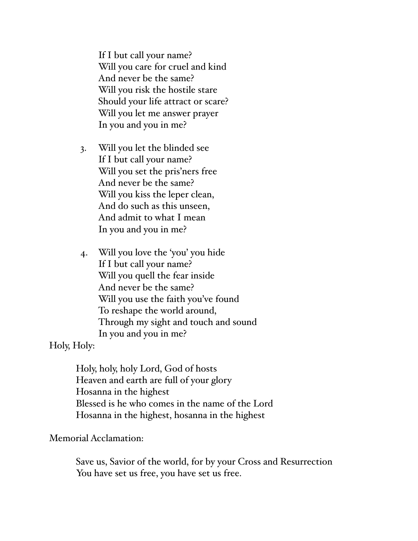If I but call your name? Will you care for cruel and kind And never be the same? Will you risk the hostile stare Should your life attract or scare? Will you let me answer prayer In you and you in me?

- 3. Will you let the blinded see If I but call your name? Will you set the pris'ners free And never be the same? Will you kiss the leper clean, And do such as this unseen, And admit to what I mean In you and you in me?
- 4. Will you love the 'you' you hide If I but call your name? Will you quell the fear inside And never be the same? Will you use the faith you've found To reshape the world around, Through my sight and touch and sound In you and you in me?

Holy, Holy:

Holy, holy, holy Lord, God of hosts Heaven and earth are full of your glory Hosanna in the highest Blessed is he who comes in the name of the Lord Hosanna in the highest, hosanna in the highest

#### Memorial Acclamation:

Save us, Savior of the world, for by your Cross and Resurrection You have set us free, you have set us free.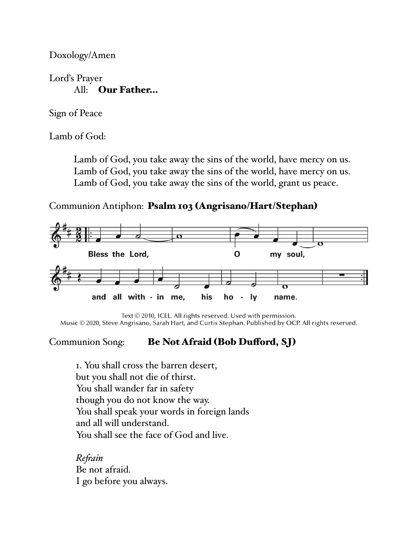Doxology/Amen

Lord's Prayer All: Our Father…

Sign of Peace

Lamb of God:

Lamb of God, you take away the sins of the world, have mercy on us. Lamb of God, you take away the sins of the world, have mercy on us. Lamb of God, you take away the sins of the world, grant us peace.

Communion Antiphon: Psalm 103 (Angrisano/Hart/Stephan)



Text © 2010, ICEL. All rights reserved. Used with permission. Music © 2020, Steve Angrisano, Sarah Hart, and Curtis Stephan. Published by OCP. All rights reserved.

Communion Song: Be Not Afraid (Bob Dufford, SJ)

1. You shall cross the barren desert, but you shall not die of thirst. You shall wander far in safety though you do not know the way. You shall speak your words in foreign lands and all will understand. You shall see the face of God and live.

*Refrain* Be not afraid. I go before you always.